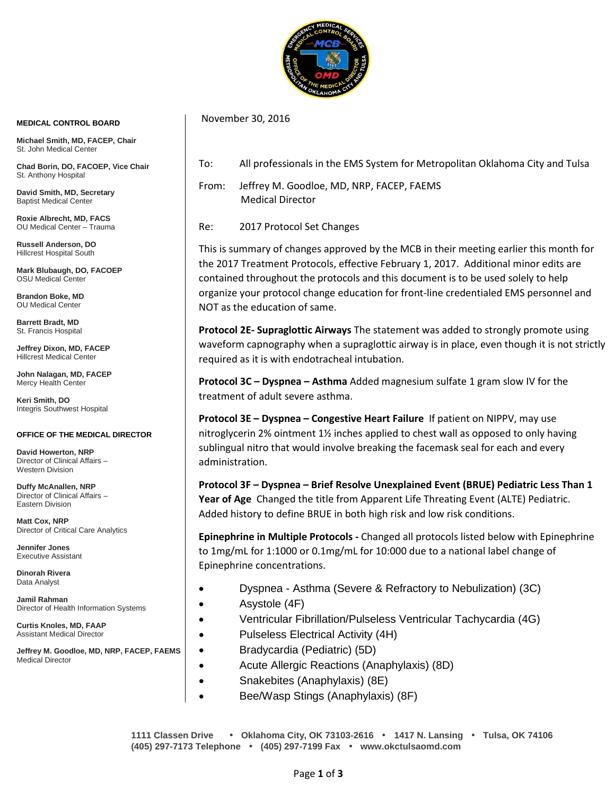

## **MEDICAL CONTROL BOARD**

**Michael Smith, MD, FACEP, Chair** St. John Medical Center

**Chad Borin, DO, FACOEP, Vice Chair**  St. Anthony Hospital

**David Smith, MD, Secretary** Baptist Medical Center

**Roxie Albrecht, MD, FACS** OU Medical Center – Trauma

**Russell Anderson, DO** Hillcrest Hospital South

**Mark Blubaugh, DO, FACOEP** OSU Medical Center

**Brandon Boke, MD** OU Medical Center

**Barrett Bradt, MD** St. Francis Hospital

**Jeffrey Dixon, MD, FACEP** Hillcrest Medical Center

**John Nalagan, MD, FACEP** Mercy Health Center

**Keri Smith, DO** Integris Southwest Hospital

## **OFFICE OF THE MEDICAL DIRECTOR**

**David Howerton, NRP** Director of Clinical Affairs – Western Division

**Duffy McAnallen, NRP** Director of Clinical Affairs – Eastern Division

**Matt Cox, NRP** Director of Critical Care Analytics

**Jennifer Jones** Executive Assistant

**Dinorah Rivera** Data Analyst

**Jamil Rahman** Director of Health Information Systems

**Curtis Knoles, MD, FAAP** Assistant Medical Director

**Jeffrey M. Goodloe, MD, NRP, FACEP, FAEMS** Medical Director

To: All professionals in the EMS System for Metropolitan Oklahoma City and Tulsa

From: Jeffrey M. Goodloe, MD, NRP, FACEP, FAEMS Medical Director

Re: 2017 Protocol Set Changes

November 30, 2016

This is summary of changes approved by the MCB in their meeting earlier this month for the 2017 Treatment Protocols, effective February 1, 2017. Additional minor edits are contained throughout the protocols and this document is to be used solely to help organize your protocol change education for front-line credentialed EMS personnel and NOT as the education of same.

**Protocol 2E- Supraglottic Airways** The statement was added to strongly promote using waveform capnography when a supraglottic airway is in place, even though it is not strictly required as it is with endotracheal intubation.

**Protocol 3C – Dyspnea – Asthma** Added magnesium sulfate 1 gram slow IV for the treatment of adult severe asthma.

**Protocol 3E – Dyspnea – Congestive Heart Failure** If patient on NIPPV, may use nitroglycerin 2% ointment 1½ inches applied to chest wall as opposed to only having sublingual nitro that would involve breaking the facemask seal for each and every administration.

**Protocol 3F – Dyspnea – Brief Resolve Unexplained Event (BRUE) Pediatric Less Than 1 Year of Age** Changed the title from Apparent Life Threating Event (ALTE) Pediatric. Added history to define BRUE in both high risk and low risk conditions.

**Epinephrine in Multiple Protocols -** Changed all protocols listed below with Epinephrine to 1mg/mL for 1:1000 or 0.1mg/mL for 10:000 due to a national label change of Epinephrine concentrations.

- Dyspnea Asthma (Severe & Refractory to Nebulization) (3C)
- Asystole (4F)
- Ventricular Fibrillation/Pulseless Ventricular Tachycardia (4G)
- Pulseless Electrical Activity (4H)
- Bradycardia (Pediatric) (5D)
- Acute Allergic Reactions (Anaphylaxis) (8D)
- Snakebites (Anaphylaxis) (8E)
- Bee/Wasp Stings (Anaphylaxis) (8F)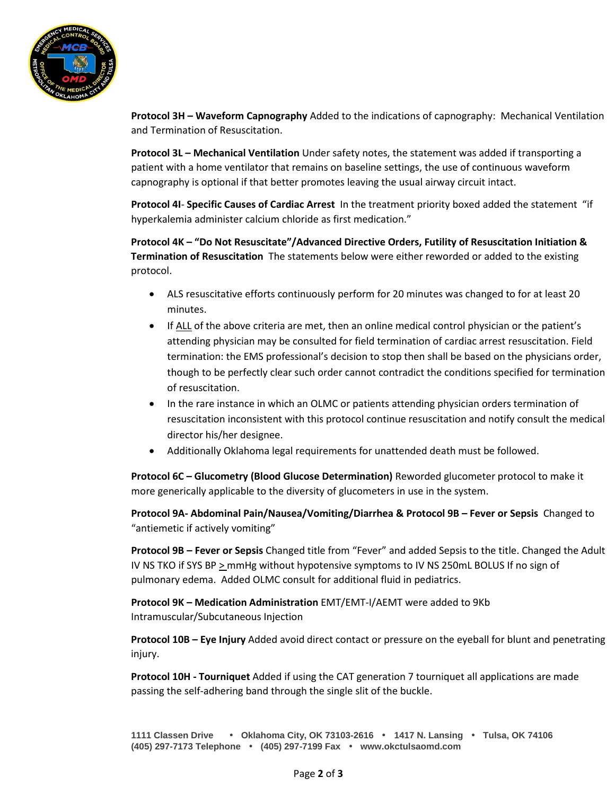

**Protocol 3H – Waveform Capnography** Added to the indications of capnography: Mechanical Ventilation and Termination of Resuscitation.

**Protocol 3L – Mechanical Ventilation** Under safety notes, the statement was added if transporting a patient with a home ventilator that remains on baseline settings, the use of continuous waveform capnography is optional if that better promotes leaving the usual airway circuit intact.

**Protocol 4I**- **Specific Causes of Cardiac Arrest** In the treatment priority boxed added the statement "if hyperkalemia administer calcium chloride as first medication."

**Protocol 4K – "Do Not Resuscitate"/Advanced Directive Orders, Futility of Resuscitation Initiation & Termination of Resuscitation** The statements below were either reworded or added to the existing protocol.

- ALS resuscitative efforts continuously perform for 20 minutes was changed to for at least 20 minutes.
- If ALL of the above criteria are met, then an online medical control physician or the patient's attending physician may be consulted for field termination of cardiac arrest resuscitation. Field termination: the EMS professional's decision to stop then shall be based on the physicians order, though to be perfectly clear such order cannot contradict the conditions specified for termination of resuscitation.
- In the rare instance in which an OLMC or patients attending physician orders termination of resuscitation inconsistent with this protocol continue resuscitation and notify consult the medical director his/her designee.
- Additionally Oklahoma legal requirements for unattended death must be followed.

**Protocol 6C – Glucometry (Blood Glucose Determination)** Reworded glucometer protocol to make it more generically applicable to the diversity of glucometers in use in the system.

**Protocol 9A- Abdominal Pain/Nausea/Vomiting/Diarrhea & Protocol 9B – Fever or Sepsis** Changed to "antiemetic if actively vomiting"

**Protocol 9B – Fever or Sepsis** Changed title from "Fever" and added Sepsis to the title. Changed the Adult IV NS TKO if SYS BP  $\geq$  mmHg without hypotensive symptoms to IV NS 250mL BOLUS If no sign of pulmonary edema. Added OLMC consult for additional fluid in pediatrics.

**Protocol 9K – Medication Administration** EMT/EMT-I/AEMT were added to 9Kb Intramuscular/Subcutaneous Injection

**Protocol 10B – Eye Injury** Added avoid direct contact or pressure on the eyeball for blunt and penetrating injury.

**Protocol 10H - Tourniquet** Added if using the CAT generation 7 tourniquet all applications are made passing the self-adhering band through the single slit of the buckle.

```
1111 Classen Drive • Oklahoma City, OK 73103-2616 • 1417 N. Lansing • Tulsa, OK 74106
(405) 297-7173 Telephone • (405) 297-7199 Fax • www.okctulsaomd.com
```